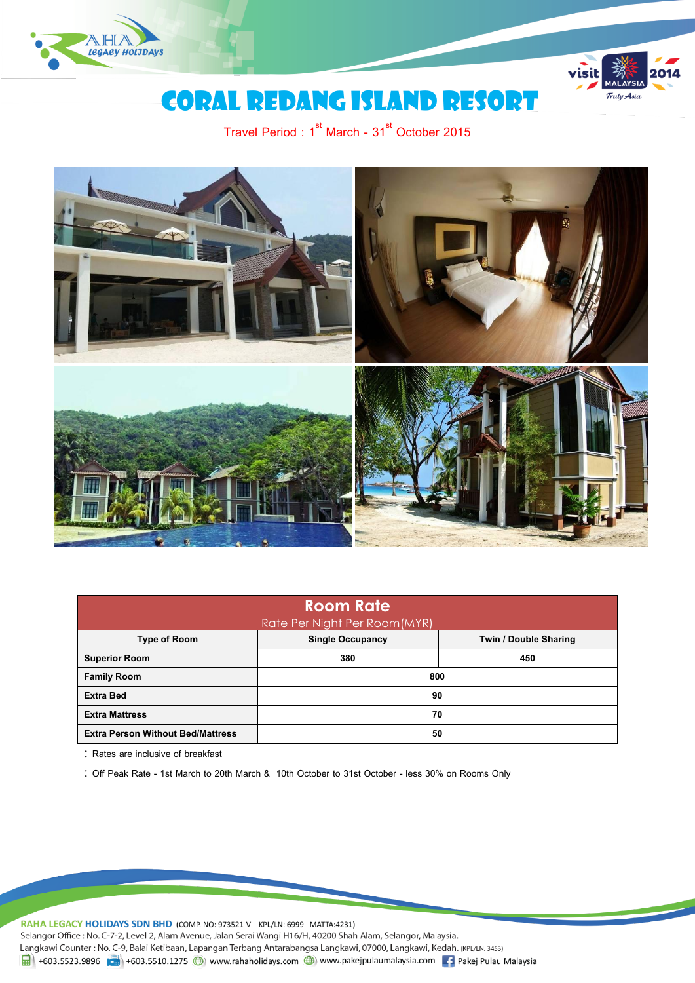



## Coral redang island resort

Travel Period :  $1^{\text{st}}$  March - 31 $^{\text{st}}$  October 2015



| <b>Room Rate</b><br><b>Rate Per Night Per Room (MYR)</b>                |     |     |  |  |  |
|-------------------------------------------------------------------------|-----|-----|--|--|--|
| <b>Single Occupancy</b><br>Twin / Double Sharing<br><b>Type of Room</b> |     |     |  |  |  |
| <b>Superior Room</b>                                                    | 380 | 450 |  |  |  |
| <b>Family Room</b>                                                      | 800 |     |  |  |  |
| <b>Extra Bed</b>                                                        | 90  |     |  |  |  |
| <b>Extra Mattress</b>                                                   | 70  |     |  |  |  |
| <b>Extra Person Without Bed/Mattress</b>                                | 50  |     |  |  |  |

Rates are inclusive of breakfast

Off Peak Rate - 1st March to 20th March & 10th October to 31st October - less 30% on Rooms Only

RAHA LEGACY HOLIDAYS SDN BHD (COMP. NO: 973521-V KPL/LN: 6999 MATTA:4231) Selangor Office : No. C-7-2, Level 2, Alam Avenue, Jalan Serai Wangi H16/H, 40200 Shah Alam, Selangor, Malaysia. Langkawi Counter: No. C-9, Balai Ketibaan, Lapangan Terbang Antarabangsa Langkawi, 07000, Langkawi, Kedah. (KPL/LN: 3453)  $\frac{1}{21}$  +603.5523.9896  $\frac{1}{21}$  +603.5510.1275  $\bigoplus$  www.rahaholidays.com  $\bigoplus$  www.pakejpulaumalaysia.com  $\bigoplus$  Pakej Pulau Malaysia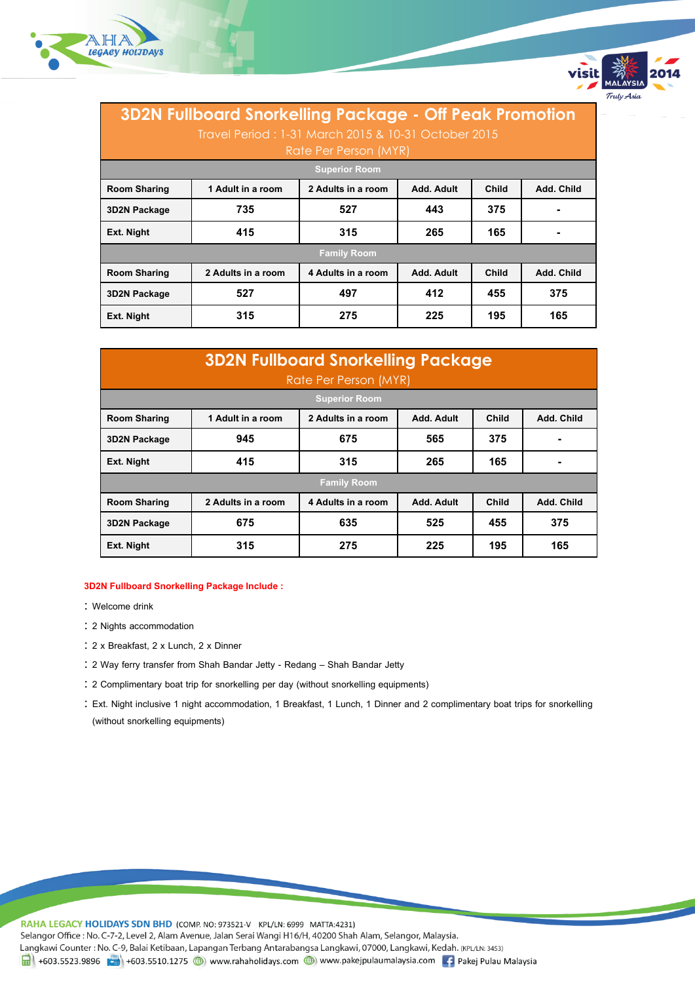



| <b>3D2N Fullboard Snorkelling Package - Off Peak Promotion</b><br>Travel Period: 1-31 March 2015 & 10-31 October 2015<br>Rate Per Person (MYR) |                    |                                                         |            |       |            |
|------------------------------------------------------------------------------------------------------------------------------------------------|--------------------|---------------------------------------------------------|------------|-------|------------|
| <b>Superior Room</b>                                                                                                                           |                    |                                                         |            |       |            |
| <b>Room Sharing</b>                                                                                                                            | 1 Adult in a room  | 2 Adults in a room<br>Add. Adult<br>Child<br>Add. Child |            |       |            |
| 3D2N Package                                                                                                                                   | 735                | 527                                                     | 443        | 375   |            |
| Ext. Night                                                                                                                                     | 415                | 265<br>165<br>315                                       |            |       |            |
| <b>Family Room</b>                                                                                                                             |                    |                                                         |            |       |            |
| <b>Room Sharing</b>                                                                                                                            | 2 Adults in a room | 4 Adults in a room                                      | Add. Adult | Child | Add. Child |
| <b>3D2N Package</b>                                                                                                                            | 527                | 497                                                     | 412        | 455   | 375        |
| Ext. Night                                                                                                                                     | 315                | 275                                                     | 225        | 195   | 165        |

| <b>3D2N Fullboard Snorkelling Package</b> |                    |                       |            |       |            |
|-------------------------------------------|--------------------|-----------------------|------------|-------|------------|
|                                           |                    | Rate Per Person (MYR) |            |       |            |
|                                           |                    | <b>Superior Room</b>  |            |       |            |
| <b>Room Sharing</b>                       | 1 Adult in a room  | 2 Adults in a room    | Add. Adult | Child | Add. Child |
| 3D2N Package                              | 945                | 675                   | 565        | 375   |            |
| Ext. Night                                | 415                | 315                   | 265        | 165   |            |
| <b>Family Room</b>                        |                    |                       |            |       |            |
| <b>Room Sharing</b>                       | 2 Adults in a room | 4 Adults in a room    | Add. Adult | Child | Add. Child |
| 3D2N Package                              | 675                | 635                   | 525        | 455   | 375        |
| Ext. Night                                | 315                | 275                   | 225        | 195   | 165        |

## **3D2N Fullboard Snorkelling Package Include :**

- : Welcome drink
- 2 Nights accommodation
- 2 x Breakfast, 2 x Lunch, 2 x Dinner
- 2 Way ferry transfer from Shah Bandar Jetty Redang Shah Bandar Jetty
- 2 Complimentary boat trip for snorkelling per day (without snorkelling equipments)
- Ext. Night inclusive 1 night accommodation, 1 Breakfast, 1 Lunch, 1 Dinner and 2 complimentary boat trips for snorkelling (without snorkelling equipments)

RAHA LEGACY HOLIDAYS SDN BHD (COMP. NO: 973521-V KPL/LN: 6999 MATTA:4231) Selangor Office : No. C-7-2, Level 2, Alam Avenue, Jalan Serai Wangi H16/H, 40200 Shah Alam, Selangor, Malaysia. Langkawi Counter: No. C-9, Balai Ketibaan, Lapangan Terbang Antarabangsa Langkawi, 07000, Langkawi, Kedah. (KPL/LN: 3453) 19 +603.5523.9896 + +603.5510.1275 (b) www.rahaholidays.com (b) www.pakejpulaumalaysia.com + Pakej Pulau Malaysia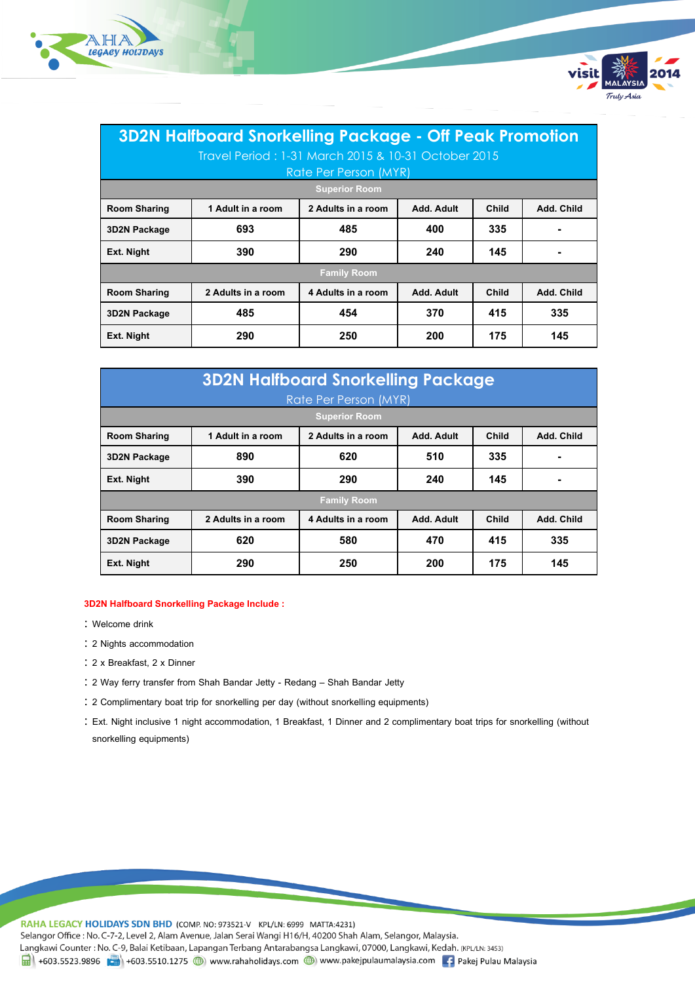



| <b>3D2N Halfboard Snorkelling Package - Off Peak Promotion</b> |                                 |                       |            |              |            |
|----------------------------------------------------------------|---------------------------------|-----------------------|------------|--------------|------------|
| Travel Period: 1-31 March 2015 & 10-31 October 2015            |                                 |                       |            |              |            |
|                                                                |                                 | Rate Per Person (MYR) |            |              |            |
|                                                                |                                 | <b>Superior Room</b>  |            |              |            |
| <b>Room Sharing</b>                                            | 1 Adult in a room               | 2 Adults in a room    | Add. Adult | <b>Child</b> | Add. Child |
| 3D2N Package                                                   | 693                             | 485                   | 400        | 335          |            |
| Ext. Night                                                     | 390                             | 290<br>240<br>145     |            |              |            |
| <b>Family Room</b>                                             |                                 |                       |            |              |            |
| <b>Room Sharing</b>                                            | 2 Adults in a room              | 4 Adults in a room    | Add. Adult | Child        | Add. Child |
| <b>3D2N Package</b>                                            | 454<br>370<br>485<br>415<br>335 |                       |            |              |            |
| Ext. Night                                                     | 290                             | 250                   | 200        | 175          | 145        |

| <b>3D2N Halfboard Snorkelling Package</b> |                    |                      |            |       |            |
|-------------------------------------------|--------------------|----------------------|------------|-------|------------|
| Rate Per Person (MYR)                     |                    |                      |            |       |            |
|                                           |                    | <b>Superior Room</b> |            |       |            |
| <b>Room Sharing</b>                       | 1 Adult in a room  | 2 Adults in a room   | Add. Adult | Child | Add. Child |
| 3D2N Package                              | 890                | 620                  | 510        | 335   |            |
| Ext. Night                                | 390                | 290                  | 240        | 145   |            |
| <b>Family Room</b>                        |                    |                      |            |       |            |
| <b>Room Sharing</b>                       | 2 Adults in a room | 4 Adults in a room   | Add. Adult | Child | Add. Child |
| 3D2N Package                              | 620                | 580                  | 470        | 415   | 335        |
| Ext. Night                                | 290                | 250                  | 200        | 175   | 145        |

## **3D2N Halfboard Snorkelling Package Include :**

- Welcome drink
- 2 Nights accommodation
- 2 x Breakfast, 2 x Dinner
- 2 Way ferry transfer from Shah Bandar Jetty Redang Shah Bandar Jetty
- 2 Complimentary boat trip for snorkelling per day (without snorkelling equipments)
- Ext. Night inclusive 1 night accommodation, 1 Breakfast, 1 Dinner and 2 complimentary boat trips for snorkelling (without snorkelling equipments)

RAHA LEGACY HOLIDAYS SDN BHD (COMP. NO: 973521-V KPL/LN: 6999 MATTA:4231) Selangor Office : No. C-7-2, Level 2, Alam Avenue, Jalan Serai Wangi H16/H, 40200 Shah Alam, Selangor, Malaysia. Langkawi Counter: No. C-9, Balai Ketibaan, Lapangan Terbang Antarabangsa Langkawi, 07000, Langkawi, Kedah. (KPL/LN: 3453) 1 +603.5523.9896 +603.5510.1275 (b) www.rahaholidays.com (b) www.pakejpulaumalaysia.com + Pakej Pulau Malaysia